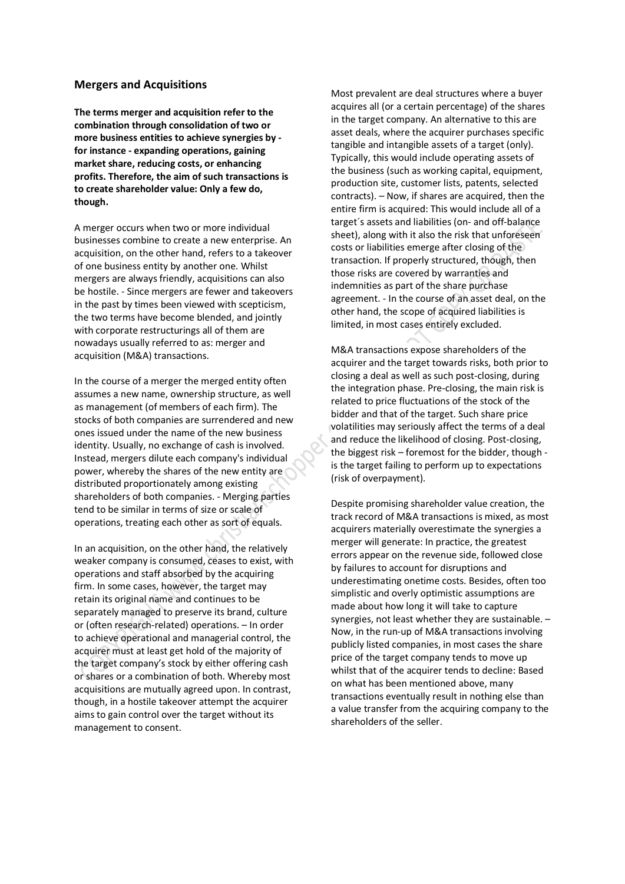## **Mergers and Acquisitions**

**The terms merger and acquisition refer to the combination through consolidation of two or more business entities to achieve synergies by for instance - expanding operations, gaining market share, reducing costs, or enhancing profits. Therefore, the aim of such transactions is to create shareholder value: Only a few do, though.**

A merger occurs when two or more individual businesses combine to create a new enterprise. An acquisition, on the other hand, refers to a takeover of one business entity by another one. Whilst mergers are always friendly, acquisitions can also be hostile. - Since mergers are fewer and takeovers in the past by times been viewed with scepticism, the two terms have become blended, and jointly with corporate restructurings all of them are nowadays usually referred to as: merger and acquisition (M&A) transactions.

In the course of a merger the merged entity often assumes a new name, ownership structure, as well as management (of members of each firm). The stocks of both companies are surrendered and new ones issued under the name of the new business identity. Usually, no exchange of cash is involved. Instead, mergers dilute each company's individual power, whereby the shares of the new entity are distributed proportionately among existing shareholders of both companies. - Merging parties tend to be similar in terms of size or scale of operations, treating each other as sort of equals.

In an acquisition, on the other hand, the relatively weaker company is consumed, ceases to exist, with operations and staff absorbed by the acquiring firm. In some cases, however, the target may retain its original name and continues to be separately managed to preserve its brand, culture or (often research-related) operations. – In order to achieve operational and managerial control, the acquirer must at least get hold of the majority of the target company's stock by either offering cash or shares or a combination of both. Whereby most acquisitions are mutually agreed upon. In contrast, though, in a hostile takeover attempt the acquirer aims to gain control over the target without its management to consent.

Most prevalent are deal structures where a buyer acquires all (or a certain percentage) of the shares in the target company. An alternative to this are asset deals, where the acquirer purchases specific tangible and intangible assets of a target (only). Typically, this would include operating assets of the business (such as working capital, equipment, production site, customer lists, patents, selected contracts). – Now, if shares are acquired, then the entire firm is acquired: This would include all of a target´s assets and liabilities (on- and off-balance sheet), along with it also the risk that unforeseen costs or liabilities emerge after closing of the transaction. If properly structured, though, then those risks are covered by warranties and indemnities as part of the share purchase agreement. - In the course of an asset deal, on the other hand, the scope of acquired liabilities is limited, in most cases entirely excluded.

M&A transactions expose shareholders of the acquirer and the target towards risks, both prior to closing a deal as well as such post-closing, during the integration phase. Pre-closing, the main risk is related to price fluctuations of the stock of the bidder and that of the target. Such share price volatilities may seriously affect the terms of a deal and reduce the likelihood of closing. Post-closing, the biggest risk – foremost for the bidder, though is the target failing to perform up to expectations (risk of overpayment).

Despite promising shareholder value creation, the track record of M&A transactions is mixed, as most acquirers materially overestimate the synergies a merger will generate: In practice, the greatest errors appear on the revenue side, followed close by failures to account for disruptions and underestimating onetime costs. Besides, often too simplistic and overly optimistic assumptions are made about how long it will take to capture synergies, not least whether they are sustainable. – Now, in the run-up of M&A transactions involving publicly listed companies, in most cases the share price of the target company tends to move up whilst that of the acquirer tends to decline: Based on what has been mentioned above, many transactions eventually result in nothing else than a value transfer from the acquiring company to the shareholders of the seller.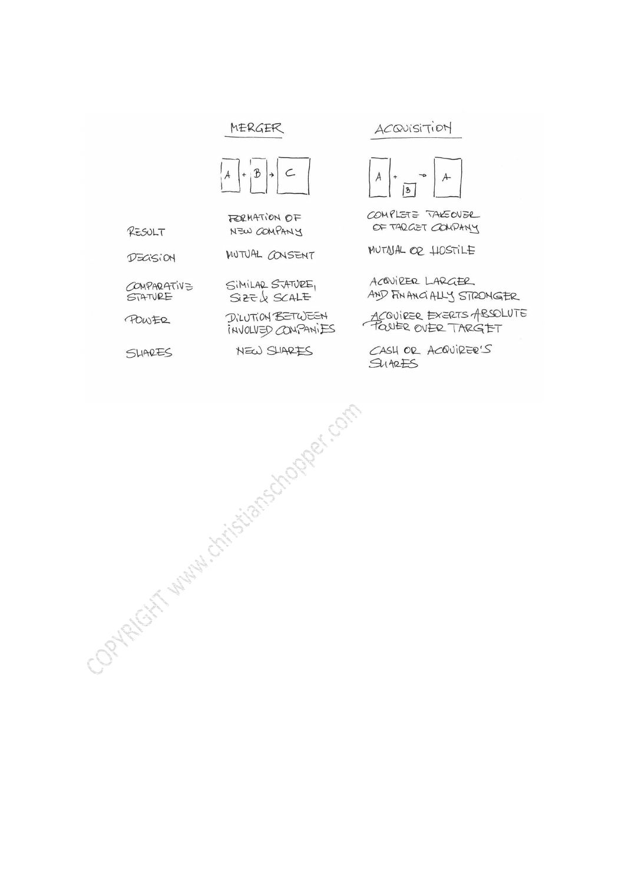## MERGER



FORMATION OF NEW COMPANY

SIMILAR STATURE, SIZEL SCALE

DILUTION BETWEEN

RESULT

MUTUAL CONSENT DECISION

COMPARATIVE

POWER

SHARES

INVOLVED CONPANIES NEW SLIARES

## ACQUISITION



COMPLETE TAKEOVER OF TARGET COMPANY

MUTNAL OR HOSTILE

ACQUIRER LARGER AND FIN ANCIALLY STRONGER

ACQUIRER EXERTS ABSOLUTE

CASH OR ACQUIRER'S  $SUBBES$ 

Contracting Manufacture of Contraction